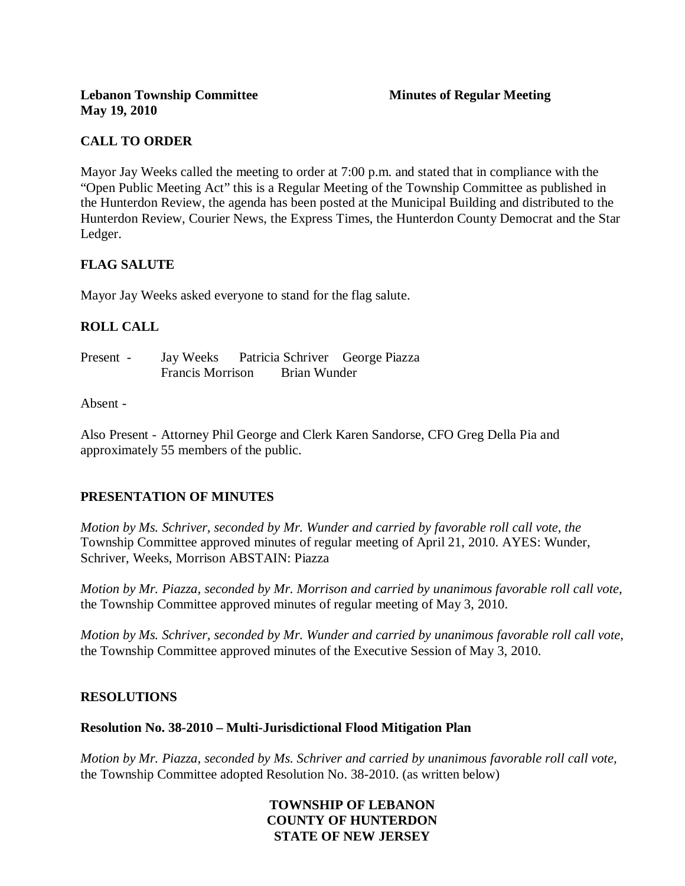## **CALL TO ORDER**

Mayor Jay Weeks called the meeting to order at 7:00 p.m. and stated that in compliance with the "Open Public Meeting Act" this is a Regular Meeting of the Township Committee as published in the Hunterdon Review, the agenda has been posted at the Municipal Building and distributed to the Hunterdon Review, Courier News, the Express Times, the Hunterdon County Democrat and the Star Ledger.

## **FLAG SALUTE**

Mayor Jay Weeks asked everyone to stand for the flag salute.

## **ROLL CALL**

Present - Jay Weeks Patricia Schriver George Piazza Francis Morrison Brian Wunder

#### Absent -

Also Present - Attorney Phil George and Clerk Karen Sandorse, CFO Greg Della Pia and approximately 55 members of the public.

#### **PRESENTATION OF MINUTES**

*Motion by Ms. Schriver, seconded by Mr. Wunder and carried by favorable roll call vote, the* Township Committee approved minutes of regular meeting of April 21, 2010. AYES: Wunder, Schriver, Weeks, Morrison ABSTAIN: Piazza

*Motion by Mr. Piazza, seconded by Mr. Morrison and carried by unanimous favorable roll call vote,*  the Township Committee approved minutes of regular meeting of May 3, 2010.

*Motion by Ms. Schriver, seconded by Mr. Wunder and carried by unanimous favorable roll call vote,* the Township Committee approved minutes of the Executive Session of May 3, 2010.

#### **RESOLUTIONS**

#### **Resolution No. 38-2010 – Multi-Jurisdictional Flood Mitigation Plan**

*Motion by Mr. Piazza, seconded by Ms. Schriver and carried by unanimous favorable roll call vote,* the Township Committee adopted Resolution No. 38-2010. (as written below)

## **TOWNSHIP OF LEBANON COUNTY OF HUNTERDON STATE OF NEW JERSEY**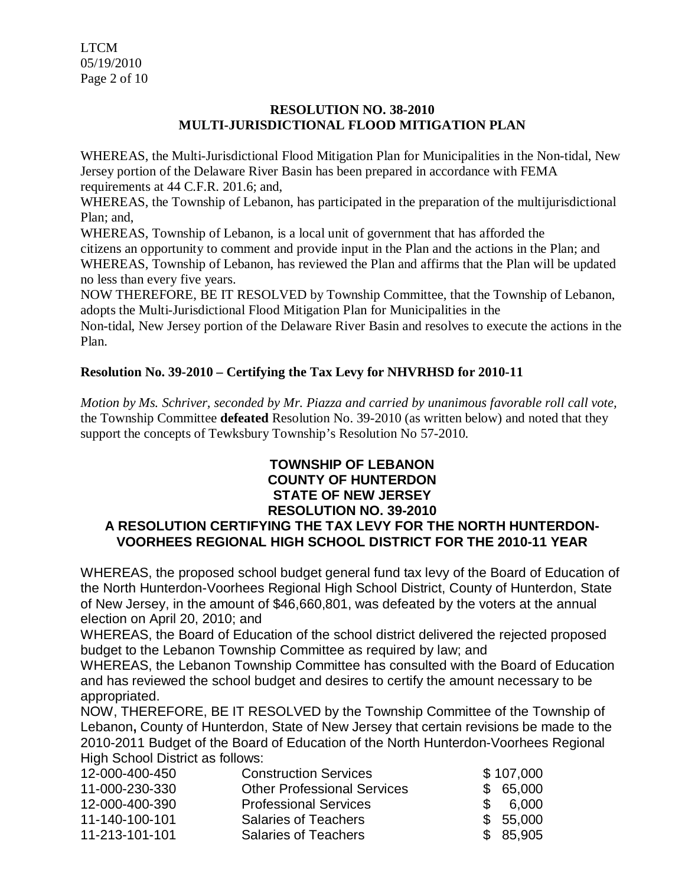LTCM 05/19/2010 Page 2 of 10

## **RESOLUTION NO. 38-2010 MULTI-JURISDICTIONAL FLOOD MITIGATION PLAN**

WHEREAS, the Multi-Jurisdictional Flood Mitigation Plan for Municipalities in the Non-tidal, New Jersey portion of the Delaware River Basin has been prepared in accordance with FEMA requirements at 44 C.F.R. 201.6; and,

WHEREAS, the Township of Lebanon, has participated in the preparation of the multijurisdictional Plan; and,

WHEREAS, Township of Lebanon, is a local unit of government that has afforded the citizens an opportunity to comment and provide input in the Plan and the actions in the Plan; and WHEREAS, Township of Lebanon, has reviewed the Plan and affirms that the Plan will be updated no less than every five years.

NOW THEREFORE, BE IT RESOLVED by Township Committee, that the Township of Lebanon, adopts the Multi-Jurisdictional Flood Mitigation Plan for Municipalities in the

Non-tidal, New Jersey portion of the Delaware River Basin and resolves to execute the actions in the Plan.

# **Resolution No. 39-2010 – Certifying the Tax Levy for NHVRHSD for 2010-11**

*Motion by Ms. Schriver, seconded by Mr. Piazza and carried by unanimous favorable roll call vote,* the Township Committee **defeated** Resolution No. 39-2010 (as written below) and noted that they support the concepts of Tewksbury Township's Resolution No 57-2010.

## **TOWNSHIP OF LEBANON COUNTY OF HUNTERDON STATE OF NEW JERSEY RESOLUTION NO. 39-2010**

# **A RESOLUTION CERTIFYING THE TAX LEVY FOR THE NORTH HUNTERDON-VOORHEES REGIONAL HIGH SCHOOL DISTRICT FOR THE 2010-11 YEAR**

WHEREAS, the proposed school budget general fund tax levy of the Board of Education of the North Hunterdon-Voorhees Regional High School District, County of Hunterdon, State of New Jersey, in the amount of \$46,660,801, was defeated by the voters at the annual election on April 20, 2010; and

WHEREAS, the Board of Education of the school district delivered the rejected proposed budget to the Lebanon Township Committee as required by law; and

WHEREAS, the Lebanon Township Committee has consulted with the Board of Education and has reviewed the school budget and desires to certify the amount necessary to be appropriated.

NOW, THEREFORE, BE IT RESOLVED by the Township Committee of the Township of Lebanon**,** County of Hunterdon, State of New Jersey that certain revisions be made to the 2010-2011 Budget of the Board of Education of the North Hunterdon-Voorhees Regional High School District as follows:

| 12-000-400-450 | <b>Construction Services</b>       | \$107,000    |
|----------------|------------------------------------|--------------|
| 11-000-230-330 | <b>Other Professional Services</b> | \$65,000     |
| 12-000-400-390 | <b>Professional Services</b>       | 6.000<br>SS. |
| 11-140-100-101 | <b>Salaries of Teachers</b>        | \$55,000     |
| 11-213-101-101 | <b>Salaries of Teachers</b>        | \$ 85,905    |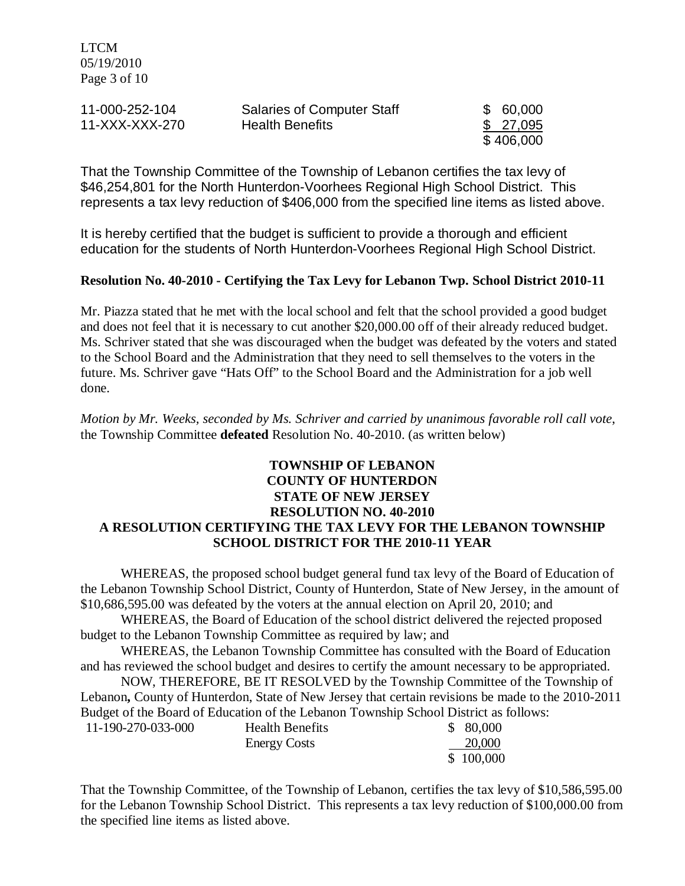LTCM 05/19/2010 Page 3 of 10

| 11-000-252-104 | <b>Salaries of Computer Staff</b> | \$ 60,000 |
|----------------|-----------------------------------|-----------|
| 11-XXX-XXX-270 | <b>Health Benefits</b>            | \$ 27,095 |
|                |                                   | \$406,000 |

That the Township Committee of the Township of Lebanon certifies the tax levy of \$46,254,801 for the North Hunterdon-Voorhees Regional High School District. This represents a tax levy reduction of \$406,000 from the specified line items as listed above.

It is hereby certified that the budget is sufficient to provide a thorough and efficient education for the students of North Hunterdon-Voorhees Regional High School District.

#### **Resolution No. 40-2010 - Certifying the Tax Levy for Lebanon Twp. School District 2010-11**

Mr. Piazza stated that he met with the local school and felt that the school provided a good budget and does not feel that it is necessary to cut another \$20,000.00 off of their already reduced budget. Ms. Schriver stated that she was discouraged when the budget was defeated by the voters and stated to the School Board and the Administration that they need to sell themselves to the voters in the future. Ms. Schriver gave "Hats Off" to the School Board and the Administration for a job well done.

*Motion by Mr. Weeks, seconded by Ms. Schriver and carried by unanimous favorable roll call vote*, the Township Committee **defeated** Resolution No. 40-2010. (as written below)

## **TOWNSHIP OF LEBANON COUNTY OF HUNTERDON STATE OF NEW JERSEY RESOLUTION NO. 40-2010 A RESOLUTION CERTIFYING THE TAX LEVY FOR THE LEBANON TOWNSHIP SCHOOL DISTRICT FOR THE 2010-11 YEAR**

WHEREAS, the proposed school budget general fund tax levy of the Board of Education of the Lebanon Township School District, County of Hunterdon, State of New Jersey, in the amount of \$10,686,595.00 was defeated by the voters at the annual election on April 20, 2010; and

WHEREAS, the Board of Education of the school district delivered the rejected proposed budget to the Lebanon Township Committee as required by law; and

WHEREAS, the Lebanon Township Committee has consulted with the Board of Education and has reviewed the school budget and desires to certify the amount necessary to be appropriated.

NOW, THEREFORE, BE IT RESOLVED by the Township Committee of the Township of Lebanon**,** County of Hunterdon, State of New Jersey that certain revisions be made to the 2010-2011 Budget of the Board of Education of the Lebanon Township School District as follows:

| 11-190-270-033-000 | <b>Health Benefits</b> | \$80,000  |
|--------------------|------------------------|-----------|
|                    | <b>Energy Costs</b>    | 20,000    |
|                    |                        | \$100,000 |

That the Township Committee, of the Township of Lebanon, certifies the tax levy of \$10,586,595.00 for the Lebanon Township School District. This represents a tax levy reduction of \$100,000.00 from the specified line items as listed above.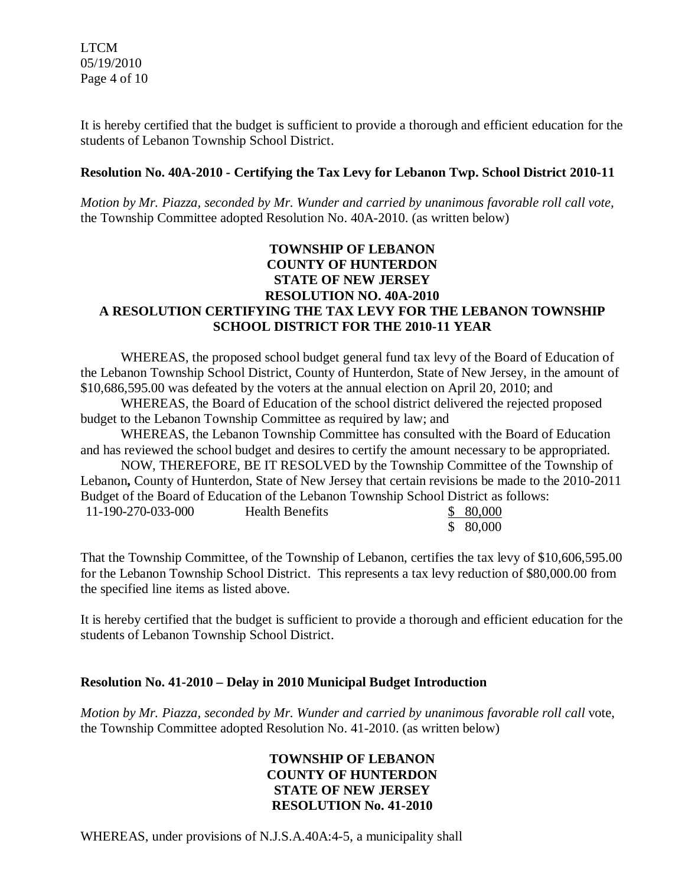It is hereby certified that the budget is sufficient to provide a thorough and efficient education for the students of Lebanon Township School District.

## **Resolution No. 40A-2010 - Certifying the Tax Levy for Lebanon Twp. School District 2010-11**

*Motion by Mr. Piazza, seconded by Mr. Wunder and carried by unanimous favorable roll call vote,* the Township Committee adopted Resolution No. 40A-2010. (as written below)

## **TOWNSHIP OF LEBANON COUNTY OF HUNTERDON STATE OF NEW JERSEY RESOLUTION NO. 40A-2010 A RESOLUTION CERTIFYING THE TAX LEVY FOR THE LEBANON TOWNSHIP SCHOOL DISTRICT FOR THE 2010-11 YEAR**

WHEREAS, the proposed school budget general fund tax levy of the Board of Education of the Lebanon Township School District, County of Hunterdon, State of New Jersey, in the amount of \$10,686,595.00 was defeated by the voters at the annual election on April 20, 2010; and

WHEREAS, the Board of Education of the school district delivered the rejected proposed budget to the Lebanon Township Committee as required by law; and

WHEREAS, the Lebanon Township Committee has consulted with the Board of Education and has reviewed the school budget and desires to certify the amount necessary to be appropriated.

NOW, THEREFORE, BE IT RESOLVED by the Township Committee of the Township of Lebanon**,** County of Hunterdon, State of New Jersey that certain revisions be made to the 2010-2011 Budget of the Board of Education of the Lebanon Township School District as follows: 11-190-270

| 0-033-000 | <b>Health Benefits</b> | \$ 80,000 |
|-----------|------------------------|-----------|
|           |                        | \$80,000  |

That the Township Committee, of the Township of Lebanon, certifies the tax levy of \$10,606,595.00 for the Lebanon Township School District. This represents a tax levy reduction of \$80,000.00 from the specified line items as listed above.

It is hereby certified that the budget is sufficient to provide a thorough and efficient education for the students of Lebanon Township School District.

## **Resolution No. 41-2010 – Delay in 2010 Municipal Budget Introduction**

*Motion by Mr. Piazza, seconded by Mr. Wunder and carried by unanimous favorable roll call* vote, the Township Committee adopted Resolution No. 41-2010. (as written below)

## **TOWNSHIP OF LEBANON COUNTY OF HUNTERDON STATE OF NEW JERSEY RESOLUTION No. 41-2010**

WHEREAS, under provisions of N.J.S.A.40A:4-5, a municipality shall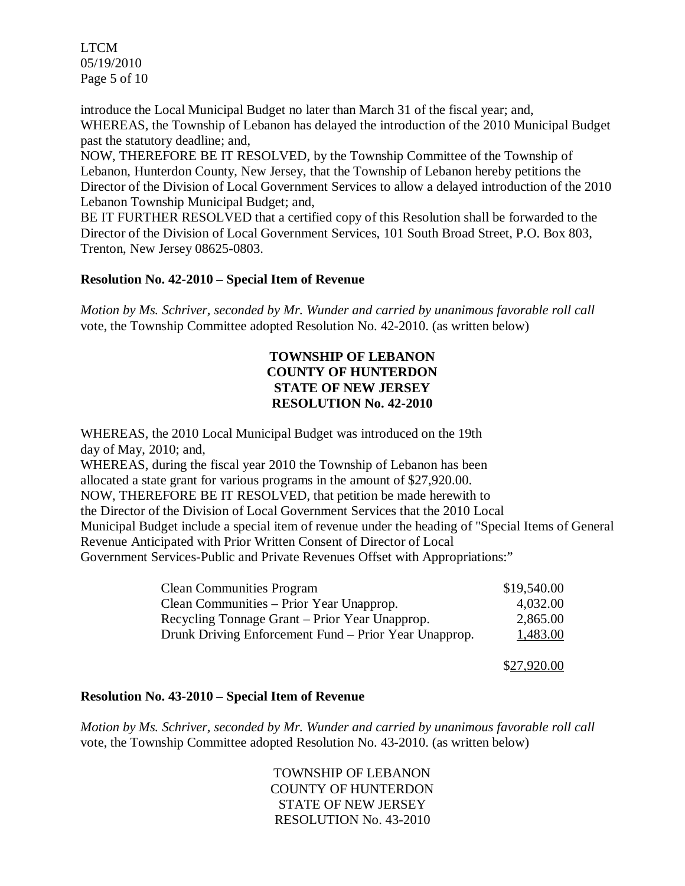LTCM 05/19/2010 Page 5 of 10

introduce the Local Municipal Budget no later than March 31 of the fiscal year; and, WHEREAS, the Township of Lebanon has delayed the introduction of the 2010 Municipal Budget past the statutory deadline; and,

NOW, THEREFORE BE IT RESOLVED, by the Township Committee of the Township of Lebanon, Hunterdon County, New Jersey, that the Township of Lebanon hereby petitions the Director of the Division of Local Government Services to allow a delayed introduction of the 2010 Lebanon Township Municipal Budget; and,

BE IT FURTHER RESOLVED that a certified copy of this Resolution shall be forwarded to the Director of the Division of Local Government Services, 101 South Broad Street, P.O. Box 803, Trenton, New Jersey 08625-0803.

## **Resolution No. 42-2010 – Special Item of Revenue**

*Motion by Ms. Schriver, seconded by Mr. Wunder and carried by unanimous favorable roll call*  vote, the Township Committee adopted Resolution No. 42-2010. (as written below)

## **TOWNSHIP OF LEBANON COUNTY OF HUNTERDON STATE OF NEW JERSEY RESOLUTION No. 42-2010**

WHEREAS, the 2010 Local Municipal Budget was introduced on the 19th day of May, 2010; and,

WHEREAS, during the fiscal year 2010 the Township of Lebanon has been allocated a state grant for various programs in the amount of \$27,920.00. NOW, THEREFORE BE IT RESOLVED, that petition be made herewith to the Director of the Division of Local Government Services that the 2010 Local Municipal Budget include a special item of revenue under the heading of "Special Items of General Revenue Anticipated with Prior Written Consent of Director of Local Government Services-Public and Private Revenues Offset with Appropriations:"

| <b>Clean Communities Program</b>                      | \$19,540.00 |
|-------------------------------------------------------|-------------|
| Clean Communities – Prior Year Unapprop.              | 4,032.00    |
| Recycling Tonnage Grant – Prior Year Unapprop.        | 2,865.00    |
| Drunk Driving Enforcement Fund – Prior Year Unapprop. | 1,483.00    |

\$27,920.00

#### **Resolution No. 43-2010 – Special Item of Revenue**

*Motion by Ms. Schriver, seconded by Mr. Wunder and carried by unanimous favorable roll call*  vote, the Township Committee adopted Resolution No. 43-2010. (as written below)

> TOWNSHIP OF LEBANON COUNTY OF HUNTERDON STATE OF NEW JERSEY RESOLUTION No. 43-2010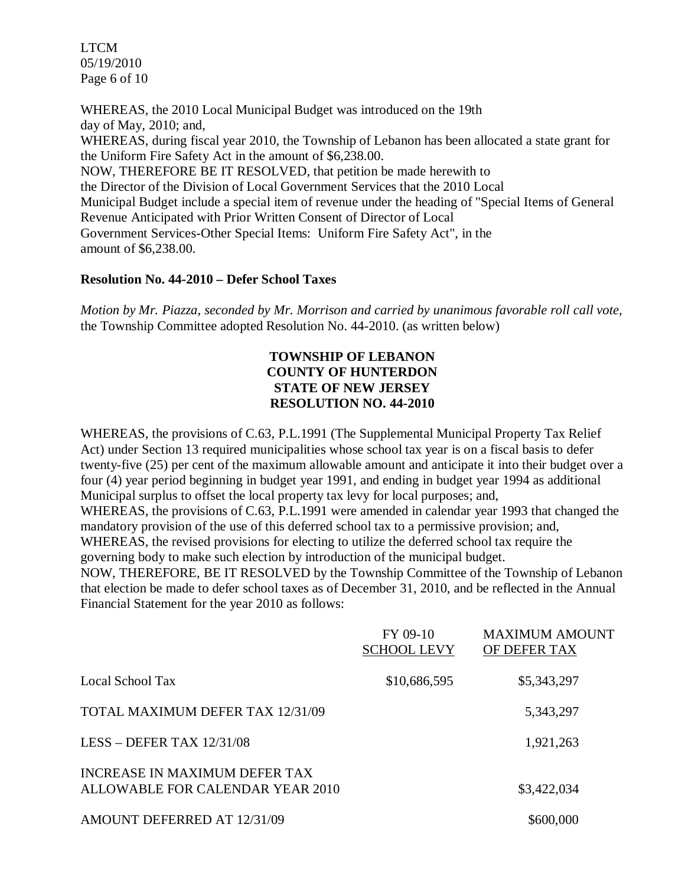LTCM 05/19/2010 Page 6 of 10

WHEREAS, the 2010 Local Municipal Budget was introduced on the 19th day of May, 2010; and, WHEREAS, during fiscal year 2010, the Township of Lebanon has been allocated a state grant for the Uniform Fire Safety Act in the amount of \$6,238.00. NOW, THEREFORE BE IT RESOLVED, that petition be made herewith to the Director of the Division of Local Government Services that the 2010 Local Municipal Budget include a special item of revenue under the heading of "Special Items of General Revenue Anticipated with Prior Written Consent of Director of Local Government Services-Other Special Items: Uniform Fire Safety Act", in the amount of \$6,238.00.

#### **Resolution No. 44-2010 – Defer School Taxes**

*Motion by Mr. Piazza, seconded by Mr. Morrison and carried by unanimous favorable roll call vote,* the Township Committee adopted Resolution No. 44-2010. (as written below)

## **TOWNSHIP OF LEBANON COUNTY OF HUNTERDON STATE OF NEW JERSEY RESOLUTION NO. 44-2010**

WHEREAS, the provisions of C.63, P.L.1991 (The Supplemental Municipal Property Tax Relief Act) under Section 13 required municipalities whose school tax year is on a fiscal basis to defer twenty-five (25) per cent of the maximum allowable amount and anticipate it into their budget over a four (4) year period beginning in budget year 1991, and ending in budget year 1994 as additional Municipal surplus to offset the local property tax levy for local purposes; and, WHEREAS, the provisions of C.63, P.L.1991 were amended in calendar year 1993 that changed the mandatory provision of the use of this deferred school tax to a permissive provision; and, WHEREAS, the revised provisions for electing to utilize the deferred school tax require the governing body to make such election by introduction of the municipal budget. NOW, THEREFORE, BE IT RESOLVED by the Township Committee of the Township of Lebanon

that election be made to defer school taxes as of December 31, 2010, and be reflected in the Annual Financial Statement for the year 2010 as follows:

|                                                                   | FY 09-10<br><b>SCHOOL LEVY</b> | <b>MAXIMUM AMOUNT</b><br>OF DEFER TAX |
|-------------------------------------------------------------------|--------------------------------|---------------------------------------|
| Local School Tax                                                  | \$10,686,595                   | \$5,343,297                           |
| TOTAL MAXIMUM DEFER TAX 12/31/09                                  |                                | 5,343,297                             |
| LESS - DEFER TAX $12/31/08$                                       |                                | 1,921,263                             |
| INCREASE IN MAXIMUM DEFER TAX<br>ALLOWABLE FOR CALENDAR YEAR 2010 |                                | \$3,422,034                           |
| AMOUNT DEFERRED AT 12/31/09                                       |                                | \$600,000                             |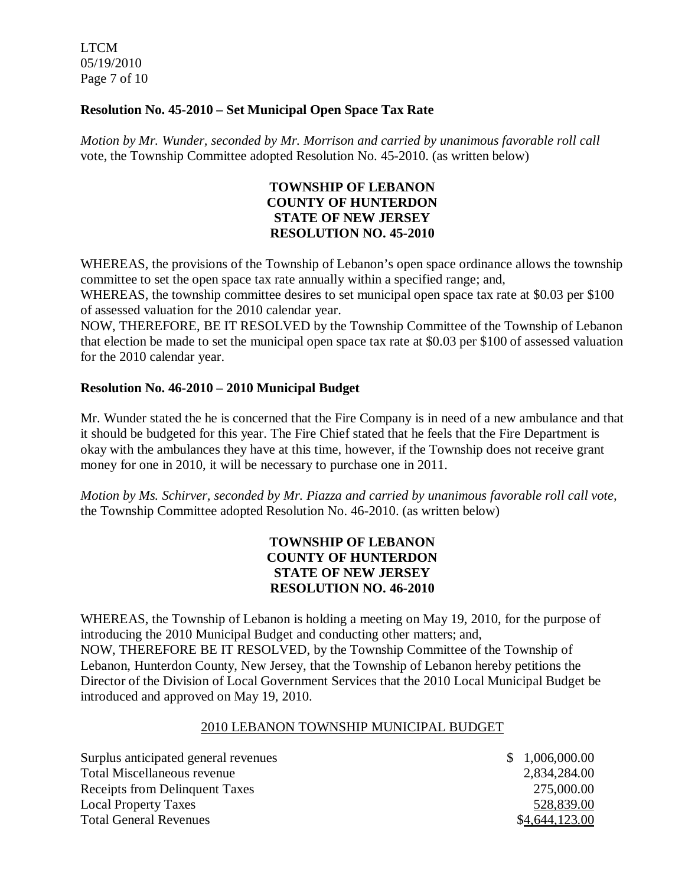LTCM 05/19/2010 Page 7 of 10

## **Resolution No. 45-2010 – Set Municipal Open Space Tax Rate**

*Motion by Mr. Wunder, seconded by Mr. Morrison and carried by unanimous favorable roll call*  vote, the Township Committee adopted Resolution No. 45-2010. (as written below)

## **TOWNSHIP OF LEBANON COUNTY OF HUNTERDON STATE OF NEW JERSEY RESOLUTION NO. 45-2010**

WHEREAS, the provisions of the Township of Lebanon's open space ordinance allows the township committee to set the open space tax rate annually within a specified range; and,

WHEREAS, the township committee desires to set municipal open space tax rate at \$0.03 per \$100 of assessed valuation for the 2010 calendar year.

NOW, THEREFORE, BE IT RESOLVED by the Township Committee of the Township of Lebanon that election be made to set the municipal open space tax rate at \$0.03 per \$100 of assessed valuation for the 2010 calendar year.

## **Resolution No. 46-2010 – 2010 Municipal Budget**

Mr. Wunder stated the he is concerned that the Fire Company is in need of a new ambulance and that it should be budgeted for this year. The Fire Chief stated that he feels that the Fire Department is okay with the ambulances they have at this time, however, if the Township does not receive grant money for one in 2010, it will be necessary to purchase one in 2011.

*Motion by Ms. Schirver, seconded by Mr. Piazza and carried by unanimous favorable roll call vote,*  the Township Committee adopted Resolution No. 46-2010. (as written below)

## **TOWNSHIP OF LEBANON COUNTY OF HUNTERDON STATE OF NEW JERSEY RESOLUTION NO. 46-2010**

WHEREAS, the Township of Lebanon is holding a meeting on May 19, 2010, for the purpose of introducing the 2010 Municipal Budget and conducting other matters; and, NOW, THEREFORE BE IT RESOLVED, by the Township Committee of the Township of Lebanon, Hunterdon County, New Jersey, that the Township of Lebanon hereby petitions the Director of the Division of Local Government Services that the 2010 Local Municipal Budget be introduced and approved on May 19, 2010.

#### 2010 LEBANON TOWNSHIP MUNICIPAL BUDGET

| Surplus anticipated general revenues | \$1,006,000.00 |
|--------------------------------------|----------------|
| Total Miscellaneous revenue          | 2,834,284.00   |
| Receipts from Delinquent Taxes       | 275,000.00     |
| <b>Local Property Taxes</b>          | 528,839.00     |
| <b>Total General Revenues</b>        | \$4,644,123.00 |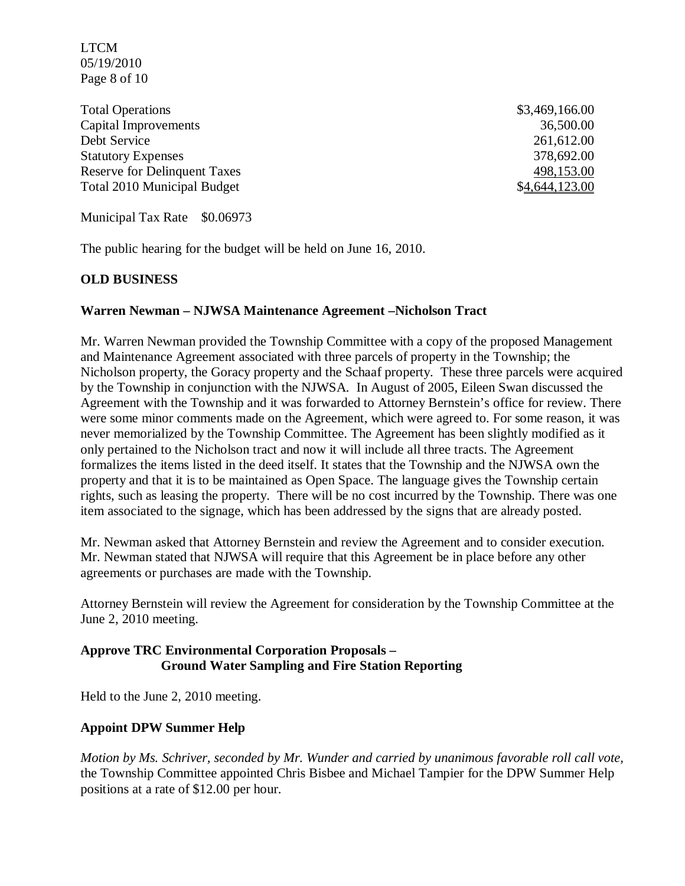LTCM 05/19/2010 Page 8 of 10

Total Operations  $$3,469,166.00$ Capital Improvements 36,500.00 Debt Service 261,612.00 Statutory Expenses 378,692.00 Reserve for Delinquent Taxes Total 2010 Municipal Budget  $$4,644,123.00$ 

498,153.00

Municipal Tax Rate \$0.06973

The public hearing for the budget will be held on June 16, 2010.

#### **OLD BUSINESS**

#### **Warren Newman – NJWSA Maintenance Agreement –Nicholson Tract**

Mr. Warren Newman provided the Township Committee with a copy of the proposed Management and Maintenance Agreement associated with three parcels of property in the Township; the Nicholson property, the Goracy property and the Schaaf property. These three parcels were acquired by the Township in conjunction with the NJWSA. In August of 2005, Eileen Swan discussed the Agreement with the Township and it was forwarded to Attorney Bernstein's office for review. There were some minor comments made on the Agreement, which were agreed to. For some reason, it was never memorialized by the Township Committee. The Agreement has been slightly modified as it only pertained to the Nicholson tract and now it will include all three tracts. The Agreement formalizes the items listed in the deed itself. It states that the Township and the NJWSA own the property and that it is to be maintained as Open Space. The language gives the Township certain rights, such as leasing the property. There will be no cost incurred by the Township. There was one item associated to the signage, which has been addressed by the signs that are already posted.

Mr. Newman asked that Attorney Bernstein and review the Agreement and to consider execution. Mr. Newman stated that NJWSA will require that this Agreement be in place before any other agreements or purchases are made with the Township.

Attorney Bernstein will review the Agreement for consideration by the Township Committee at the June 2, 2010 meeting.

## **Approve TRC Environmental Corporation Proposals – Ground Water Sampling and Fire Station Reporting**

Held to the June 2, 2010 meeting.

#### **Appoint DPW Summer Help**

*Motion by Ms. Schriver, seconded by Mr. Wunder and carried by unanimous favorable roll call vote,* the Township Committee appointed Chris Bisbee and Michael Tampier for the DPW Summer Help positions at a rate of \$12.00 per hour.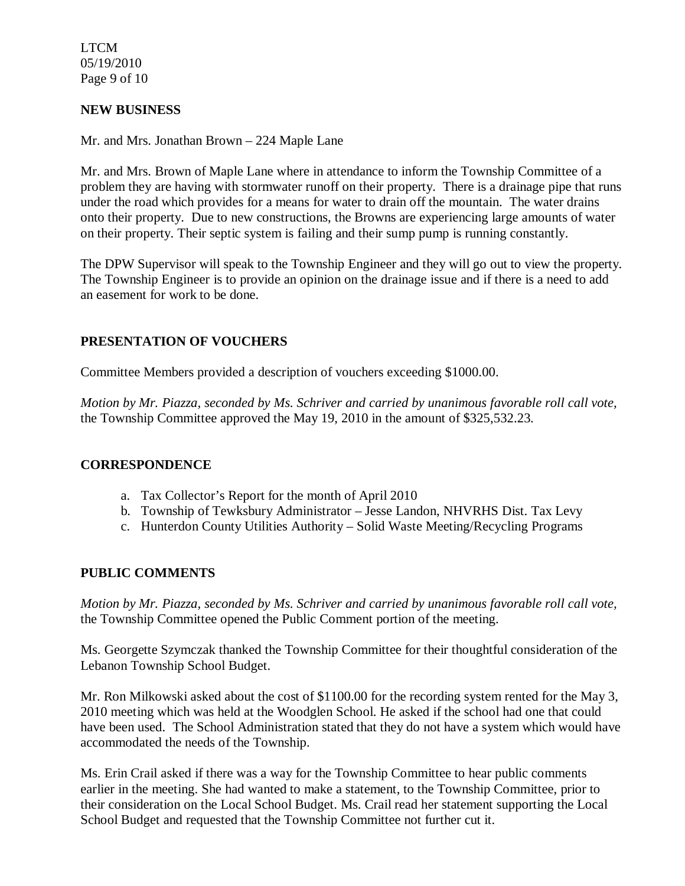LTCM 05/19/2010 Page 9 of 10

#### **NEW BUSINESS**

Mr. and Mrs. Jonathan Brown – 224 Maple Lane

Mr. and Mrs. Brown of Maple Lane where in attendance to inform the Township Committee of a problem they are having with stormwater runoff on their property. There is a drainage pipe that runs under the road which provides for a means for water to drain off the mountain. The water drains onto their property. Due to new constructions, the Browns are experiencing large amounts of water on their property. Their septic system is failing and their sump pump is running constantly.

The DPW Supervisor will speak to the Township Engineer and they will go out to view the property. The Township Engineer is to provide an opinion on the drainage issue and if there is a need to add an easement for work to be done.

## **PRESENTATION OF VOUCHERS**

Committee Members provided a description of vouchers exceeding \$1000.00.

*Motion by Mr. Piazza, seconded by Ms. Schriver and carried by unanimous favorable roll call vote,* the Township Committee approved the May 19, 2010 in the amount of \$325,532.23.

#### **CORRESPONDENCE**

- a. Tax Collector's Report for the month of April 2010
- b. Township of Tewksbury Administrator Jesse Landon, NHVRHS Dist. Tax Levy
- c. Hunterdon County Utilities Authority Solid Waste Meeting/Recycling Programs

## **PUBLIC COMMENTS**

*Motion by Mr. Piazza, seconded by Ms. Schriver and carried by unanimous favorable roll call vote,* the Township Committee opened the Public Comment portion of the meeting.

Ms. Georgette Szymczak thanked the Township Committee for their thoughtful consideration of the Lebanon Township School Budget.

Mr. Ron Milkowski asked about the cost of \$1100.00 for the recording system rented for the May 3, 2010 meeting which was held at the Woodglen School. He asked if the school had one that could have been used. The School Administration stated that they do not have a system which would have accommodated the needs of the Township.

Ms. Erin Crail asked if there was a way for the Township Committee to hear public comments earlier in the meeting. She had wanted to make a statement, to the Township Committee, prior to their consideration on the Local School Budget. Ms. Crail read her statement supporting the Local School Budget and requested that the Township Committee not further cut it.